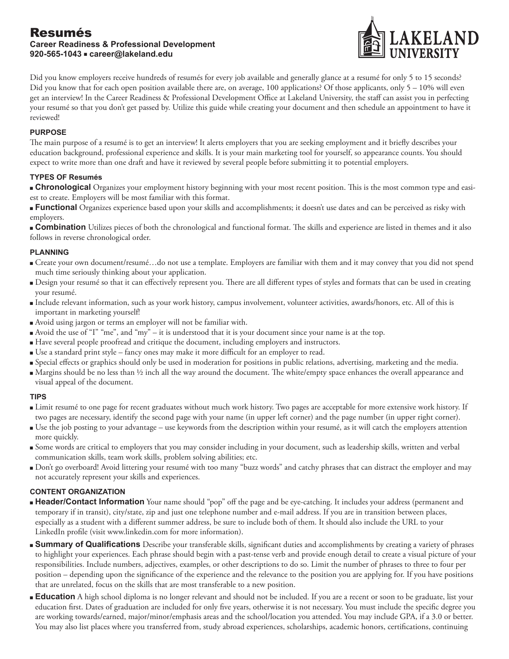

Did you know employers receive hundreds of resumés for every job available and generally glance at a resumé for only 5 to 15 seconds? Did you know that for each open position available there are, on average, 100 applications? Of those applicants, only 5 – 10% will even get an interview! In the Career Readiness & Professional Development Office at Lakeland University, the staff can assist you in perfecting your resumé so that you don't get passed by. Utilize this guide while creating your document and then schedule an appointment to have it reviewed!

## **PURPOSE**

The main purpose of a resumé is to get an interview! It alerts employers that you are seeking employment and it briefly describes your education background, professional experience and skills. It is your main marketing tool for yourself, so appearance counts. You should expect to write more than one draft and have it reviewed by several people before submitting it to potential employers.

## **TYPES OF Resumés**

<sup>n</sup> **Chronological** Organizes your employment history beginning with your most recent position. This is the most common type and easiest to create. Employers will be most familiar with this format.

**Functional** Organizes experience based upon your skills and accomplishments; it doesn't use dates and can be perceived as risky with employers.

<sup>n</sup> **Combination** Utilizes pieces of both the chronological and functional format. The skills and experience are listed in themes and it also follows in reverse chronological order.

## **PLANNING**

- <sup>n</sup> Create your own document/resumé…do not use a template. Employers are familiar with them and it may convey that you did not spend much time seriously thinking about your application.
- <sup>n</sup> Design your resumé so that it can effectively represent you. There are all different types of styles and formats that can be used in creating your resumé.
- <sup>n</sup> Include relevant information, such as your work history, campus involvement, volunteer activities, awards/honors, etc. All of this is important in marketing yourself!
- <sup>n</sup> Avoid using jargon or terms an employer will not be familiar with.
- <sup>n</sup> Avoid the use of "I" "me", and "my" it is understood that it is your document since your name is at the top.
- <sup>n</sup> Have several people proofread and critique the document, including employers and instructors.
- <sup>n</sup> Use a standard print style fancy ones may make it more difficult for an employer to read.
- <sup>n</sup> Special effects or graphics should only be used in moderation for positions in public relations, advertising, marketing and the media.
- <sup>n</sup> Margins should be no less than ½ inch all the way around the document. The white/empty space enhances the overall appearance and visual appeal of the document.

#### **TIPS**

- <sup>n</sup> Limit resumé to one page for recent graduates without much work history. Two pages are acceptable for more extensive work history. If two pages are necessary, identify the second page with your name (in upper left corner) and the page number (in upper right corner).
- <sup>n</sup> Use the job posting to your advantage use keywords from the description within your resumé, as it will catch the employers attention more quickly.
- <sup>n</sup> Some words are critical to employers that you may consider including in your document, such as leadership skills, written and verbal communication skills, team work skills, problem solving abilities; etc.
- <sup>n</sup> Don't go overboard! Avoid littering your resumé with too many "buzz words" and catchy phrases that can distract the employer and may not accurately represent your skills and experiences.

## **CONTENT ORGANIZATION**

- <sup>n</sup> **Header/Contact Information** Your name should "pop" off the page and be eye-catching. It includes your address (permanent and temporary if in transit), city/state, zip and just one telephone number and e-mail address. If you are in transition between places, especially as a student with a different summer address, be sure to include both of them. It should also include the URL to your LinkedIn profile (visit www.linkedin.com for more information).
- **Summary of Qualifications** Describe your transferable skills, significant duties and accomplishments by creating a variety of phrases to highlight your experiences. Each phrase should begin with a past-tense verb and provide enough detail to create a visual picture of your responsibilities. Include numbers, adjectives, examples, or other descriptions to do so. Limit the number of phrases to three to four per position – depending upon the significance of the experience and the relevance to the position you are applying for. If you have positions that are unrelated, focus on the skills that are most transferable to a new position.
- **Education** A high school diploma is no longer relevant and should not be included. If you are a recent or soon to be graduate, list your education first. Dates of graduation are included for only five years, otherwise it is not necessary. You must include the specific degree you are working towards/earned, major/minor/emphasis areas and the school/location you attended. You may include GPA, if a 3.0 or better. You may also list places where you transferred from, study abroad experiences, scholarships, academic honors, certifications, continuing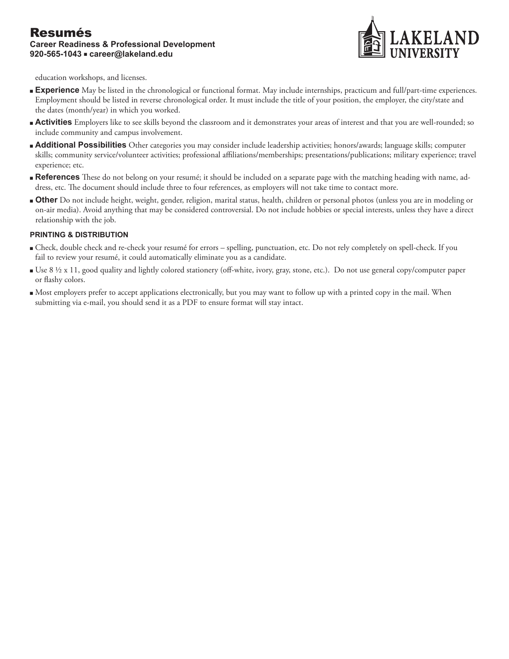

education workshops, and licenses.

- <sup>n</sup> **Experience** May be listed in the chronological or functional format. May include internships, practicum and full/part-time experiences. Employment should be listed in reverse chronological order. It must include the title of your position, the employer, the city/state and the dates (month/year) in which you worked.
- <sup>n</sup> **Activities** Employers like to see skills beyond the classroom and it demonstrates your areas of interest and that you are well-rounded; so include community and campus involvement.
- <sup>n</sup> **Additional Possibilities** Other categories you may consider include leadership activities; honors/awards; language skills; computer skills; community service/volunteer activities; professional affiliations/memberships; presentations/publications; military experience; travel experience; etc.
- <sup>n</sup> **References** These do not belong on your resumé; it should be included on a separate page with the matching heading with name, address, etc. The document should include three to four references, as employers will not take time to contact more.
- <sup>n</sup> **Other** Do not include height, weight, gender, religion, marital status, health, children or personal photos (unless you are in modeling or on-air media). Avoid anything that may be considered controversial. Do not include hobbies or special interests, unless they have a direct relationship with the job.

#### **PRINTING & DISTRIBUTION**

- <sup>n</sup> Check, double check and re-check your resumé for errors spelling, punctuation, etc. Do not rely completely on spell-check. If you fail to review your resumé, it could automatically eliminate you as a candidate.
- Use 8 ½ x 11, good quality and lightly colored stationery (off-white, ivory, gray, stone, etc.). Do not use general copy/computer paper or flashy colors.
- <sup>n</sup> Most employers prefer to accept applications electronically, but you may want to follow up with a printed copy in the mail. When submitting via e-mail, you should send it as a PDF to ensure format will stay intact.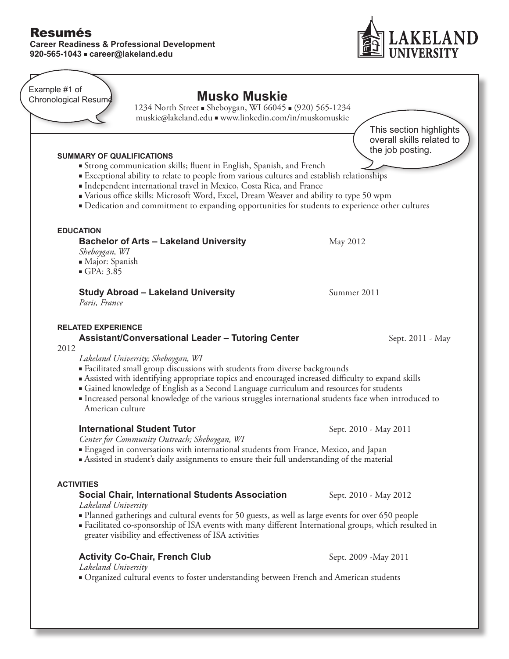## **Career Readiness & Professional Development 920-565-1043** n **career@lakeland.edu**



**Musko Muskie** 1234 North Street • Sheboygan, WI 66045 • (920) 565-1234 muskie@lakeland.edu n www.linkedin.com/in/muskomuskie **SUMMARY OF QUALIFICATIONS Strong communication skills; fluent in English, Spanish, and French** <sup>n</sup>Exceptional ability to relate to people from various cultures and establish relationships  $\blacksquare$ Independent international travel in Mexico, Costa Rica, and France ■ Various office skills: Microsoft Word, Excel, Dream Weaver and ability to type 50 wpm <sup>n</sup>Dedication and commitment to expanding opportunities for students to experience other cultures **EDUCATION Bachelor of Arts – Lakeland University** May 2012 *Sheboygan, WI* <sup>n</sup>Major: Spanish  $\blacksquare$  GPA: 3.85 **Study Abroad – Lakeland University** Summer 2011 *Paris, France* **RELATED EXPERIENCE Assistant/Conversational Leader – Tutoring Center** Sept. 2011 - May 2012 *Lakeland University; Sheboygan, WI* <sup>n</sup>Facilitated small group discussions with students from diverse backgrounds **Example 1** Assisted with identifying appropriate topics and encouraged increased difficulty to expand skills <sup>n</sup>Gained knowledge of English as a Second Language curriculum and resources for students Increased personal knowledge of the various struggles international students face when introduced to American culture **International Student Tutor Sept. 2010 - May 2011** *Center for Community Outreach; Sheboygan, WI* <sup>n</sup>Engaged in conversations with international students from France, Mexico, and Japan **•** Assisted in student's daily assignments to ensure their full understanding of the material This section highlights overall skills related to the job posting. Example #1 of Chronological Resumé

#### **ACTIVITIES**

## **Social Chair, International Students Association** Sept. 2010 - May 2012 *Lakeland University*

- <sup>n</sup>Planned gatherings and cultural events for 50 guests, as well as large events for over 650 people
- Facilitated co-sponsorship of ISA events with many different International groups, which resulted in greater visibility and effectiveness of ISA activities

## **Activity Co-Chair, French Club** Sept. 2009 - May 2011

*Lakeland University*

<sup>n</sup>Organized cultural events to foster understanding between French and American students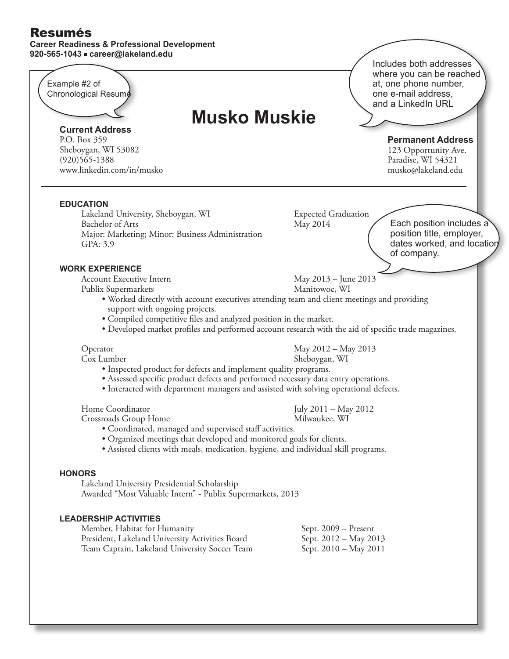#### **Career Readiness & Professional Development 920-565-1043** n **career@lakeland.edu**

**EDUCATION** Lakeland University, Sheboygan, WI Expected Graduation Bachelor of Arts May 2014 Major: Marketing; Minor: Business Administration GPA: 3.9 **WORK EXPERIENCE** Account Executive Intern May 2013 – June 2013 Publix Supermarkets Manitowoc, WI • Worked directly with account executives attending team and client meetings and providing support with ongoing projects. • Compiled competitive files and analyzed position in the market. • Developed market profiles and performed account research with the aid of specific trade magazines. Operator May 2012 – May 2013 Cox Lumber Sheboygan, WI • Inspected product for defects and implement quality programs. • Assessed specific product defects and performed necessary data entry operations. • Interacted with department managers and assisted with solving operational defects. Home Coordinator July 2011 – May 2012 Crossroads Group Home Milwaukee, WI • Coordinated, managed and supervised staff activities. • Organized meetings that developed and monitored goals for clients. • Assisted clients with meals, medication, hygiene, and individual skill programs. **HONORS** Lakeland University Presidential Scholarship Awarded "Most Valuable Intern" - Publix Supermarkets, 2013 **LEADERSHIP ACTIVITIES** Member, Habitat for HumanitySept. 2009 – Present President, Lakeland University Activities BoardSept. 2012 – May 2013 Team Captain, Lakeland University Soccer TeamSept. 2010 – May 2011 Includes both addresses where you can be reached at, one phone number, one e-mail address, and a LinkedIn URL Example #2 of Chronological Resumé **Current Address** P.O. Box 359 Sheboygan, WI 53082  $(920)$ 565-1388 www.linkedin.com/in/musko **Permanent Address** 123 Opportunity Ave. Paradise, WI 54321 musko@lakeland.edu **Musko Muskie** Each position includes a position title, employer, dates worked, and location of company.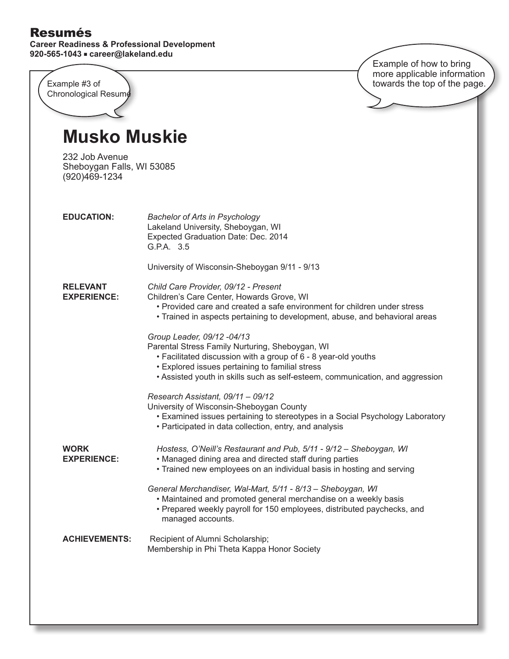**Career Readiness & Professional Development 920-565-1043** n **career@lakeland.edu**

|                                                              | Example of how to bring<br>more applicable information                                                                                                                                                                                                                              |
|--------------------------------------------------------------|-------------------------------------------------------------------------------------------------------------------------------------------------------------------------------------------------------------------------------------------------------------------------------------|
| Example #3 of<br>Chronological Resume                        | towards the top of the page.                                                                                                                                                                                                                                                        |
|                                                              |                                                                                                                                                                                                                                                                                     |
| Musko Muskie                                                 |                                                                                                                                                                                                                                                                                     |
| 232 Job Avenue<br>Sheboygan Falls, WI 53085<br>(920)469-1234 |                                                                                                                                                                                                                                                                                     |
| <b>EDUCATION:</b>                                            | <b>Bachelor of Arts in Psychology</b><br>Lakeland University, Sheboygan, WI<br>Expected Graduation Date: Dec. 2014<br>G.P.A. 3.5                                                                                                                                                    |
|                                                              | University of Wisconsin-Sheboygan 9/11 - 9/13                                                                                                                                                                                                                                       |
| <b>RELEVANT</b><br><b>EXPERIENCE:</b>                        | Child Care Provider, 09/12 - Present<br>Children's Care Center, Howards Grove, WI<br>• Provided care and created a safe environment for children under stress<br>• Trained in aspects pertaining to development, abuse, and behavioral areas                                        |
|                                                              | Group Leader, 09/12 -04/13<br>Parental Stress Family Nurturing, Sheboygan, WI<br>• Facilitated discussion with a group of 6 - 8 year-old youths<br>• Explored issues pertaining to familial stress<br>• Assisted youth in skills such as self-esteem, communication, and aggression |
|                                                              | Research Assistant, 09/11 - 09/12<br>University of Wisconsin-Sheboygan County<br>• Examined issues pertaining to stereotypes in a Social Psychology Laboratory<br>• Participated in data collection, entry, and analysis                                                            |
| <b>WORK</b><br><b>EXPERIENCE:</b>                            | Hostess, O'Neill's Restaurant and Pub, 5/11 - 9/12 - Sheboygan, WI<br>• Managed dining area and directed staff during parties<br>• Trained new employees on an individual basis in hosting and serving                                                                              |
|                                                              | General Merchandiser, Wal-Mart, 5/11 - 8/13 - Sheboygan, WI<br>• Maintained and promoted general merchandise on a weekly basis<br>• Prepared weekly payroll for 150 employees, distributed paychecks, and<br>managed accounts.                                                      |
| <b>ACHIEVEMENTS:</b>                                         | Recipient of Alumni Scholarship;<br>Membership in Phi Theta Kappa Honor Society                                                                                                                                                                                                     |
|                                                              |                                                                                                                                                                                                                                                                                     |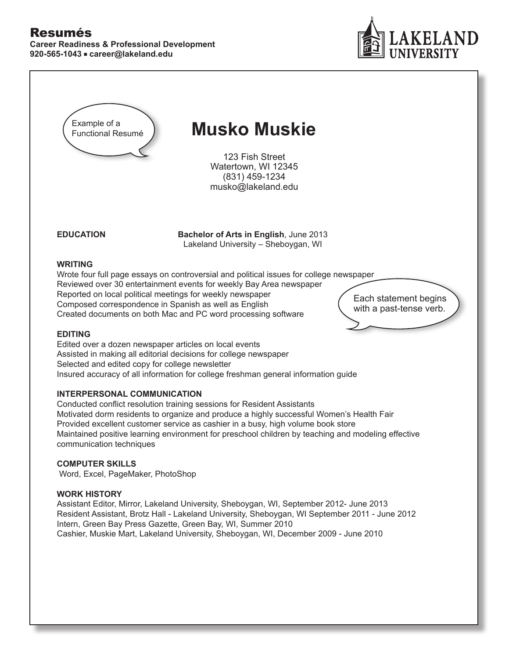

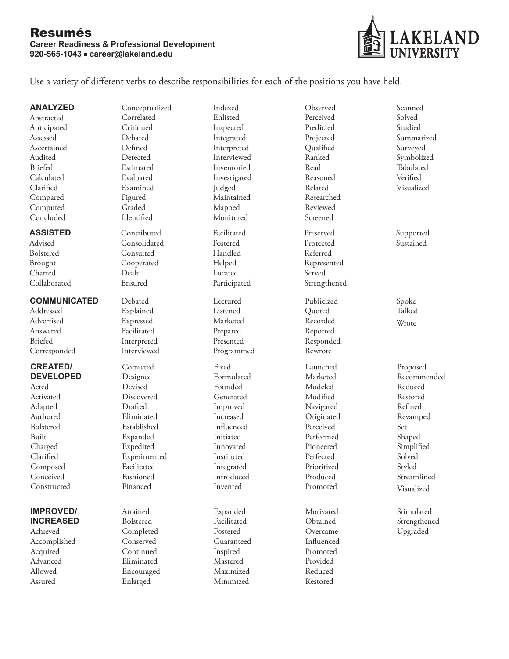

Use a variety of different verbs to describe responsibilities for each of the positions you have held.

**ANALYZED** Abstracted Anticipated Assessed Ascertained Audited Briefed Calculated Clarified Compared Computed Concluded

## **ASSISTED**

Advised Bolstered Brought Charted Collaborated

## **COMMUNICATED**

Addressed Advertised Answered Briefed Corresponded

## **CREATED/ DEVELOPED**

Acted Activated Adapted Authored Bolstered Built Charged Clarified Composed Conceived Constructed

## **IMPROVED/ INCREASED**

Achieved Accomplished Acquired Advanced Allowed Assured

Conceptualized **Correlated Critiqued** Debated Defined Detected Estimated Evaluated Examined Figured Graded Identified

Contributed Consolidated Consulted Cooperated Dealt Ensured

Debated Explained Expressed Facilitated Interpreted Interviewed

Corrected Designed Devised Discovered Drafted Eliminated Established Expanded Expedited Experimented Facilitated Fashioned Financed

Attained Bolstered Completed Conserved Continued Eliminated Encouraged Enlarged

Indexed Enlisted Inspected Integrated Interpreted Interviewed Inventoried Investigated Judged Maintained Mapped Monitored

Facilitated Fostered Handled Helped Located Participated

Lectured Listened Marketed Prepared Presented Programmed

Fixed Formulated Founded Generated Improved Increased Influenced Initiated Innovated Instituted Integrated Introduced Invented

Expanded Facilitated Fostered Guaranteed Inspired Mastered Maximized Minimized

Perceived Predicted Projected Qualified Ranked Read Reasoned Related Researched Reviewed Screened Preserved Protected Referred Represented Served Strengthened Publicized Quoted Recorded Reported Responded Rewrote Launched Marketed Modeled Modified Navigated Originated Perceived Performed

Pioneered Perfected Prioritized Produced Promoted

Motivated **O**btained Overcame Influenced Promoted Provided Reduced Restored

Observed

Scanned Solved Studied Summarized Surveyed Symbolized Tabulated Verified Visualized Supported Sustained

> Spoke Talked Wrote

Proposed Recommended Reduced Restored Refined Revamped Set Shaped Simplified Solved Styled Streamlined Visualized

Stimulated Strengthened Upgraded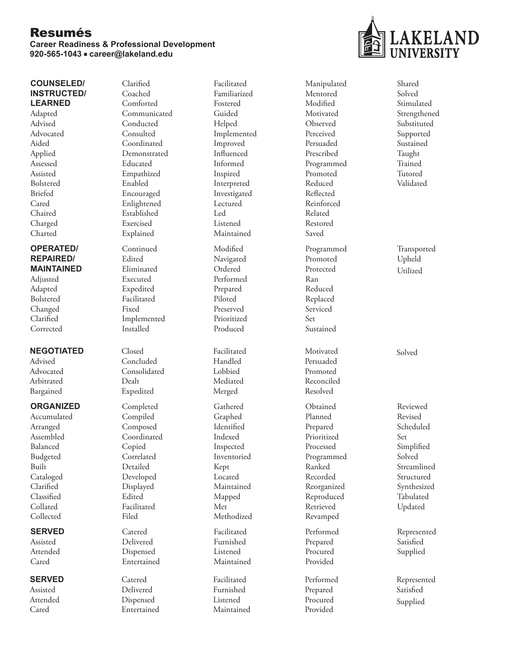#### **Career Readiness & Professional Development 920-565-1043** n **career@lakeland.edu**

# **AKELAND**

## **COUNSELED/ INSTRUCTED/ LEARNED**

Adapted Advised Advocated Aided Applied Assessed Assisted Bolstered Briefed Cared Chaired Charged Charted

## **OPERATED/ REPAIRED/ MAINTAINED**

Adjusted Adapted Bolstered Changed Clarified **Corrected** 

## **NEGOTIATED**

Advised Advocated Arbitrated Bargained

## **ORGANIZED**

Accumulated Arranged Assembled Balanced Budgeted Built Cataloged Clarified Classified Collated Collected

## **SERVED**

Assisted Attended Cared

## **SERVED**

Assisted Attended Cared

Clarified Coached Comforted Communicated Conducted Consulted Coordinated Demonstrated Educated Empathized Enabled Encouraged Enlightened Established Exercised Explained Continued

Edited Eliminated Executed Expedited Facilitated Fixed Implemented Installed

Closed Concluded Consolidated Dealt Expedited

Completed Compiled Composed Coordinated Copied Correlated Detailed Developed Displayed Edited Facilitated Filed

Catered Delivered Dispensed Entertained

Catered Delivered Dispensed Entertained

Facilitated Familiarized Fostered Guided Helped Implemented Improved Influenced Informed Inspired Interpreted Investigated Lectured Led Listened Maintained Modified Navigated Ordered Performed Prepared Piloted Preserved Prioritized Produced Facilitated Handled Lobbied Mediated Merged Gathered Graphed Identified

Indexed Inspected Inventoried Kept Located Maintained Mapped Met Methodized

Facilitated Furnished Listened Maintained

Facilitated Furnished Listened Maintained Mentored Modified **Motivated** Observed Perceived Persuaded Prescribed Programmed Promoted Reduced Reflected Reinforced Related Restored Saved Programmed Promoted Protected Ran Reduced Replaced Serviced Set Sustained Motivated Persuaded Promoted Reconciled Resolved Obtained Planned Prepared

Manipulated

Prioritized Processed Programmed Ranked Recorded Reorganized Reproduced Retrieved Revamped

Performed Prepared Procured Provided

Performed Prepared Procured Provided

Shared Solved Stimulated Strengthened Substituted Supported Sustained Taught Trained Tutored Validated

Transported Upheld Utilized

Solved

Reviewed Revised Scheduled Set Simplified Solved Streamlined Structured Synthesized Tabulated Updated

Represented Satisfied Supplied

Represented Satisfied Supplied